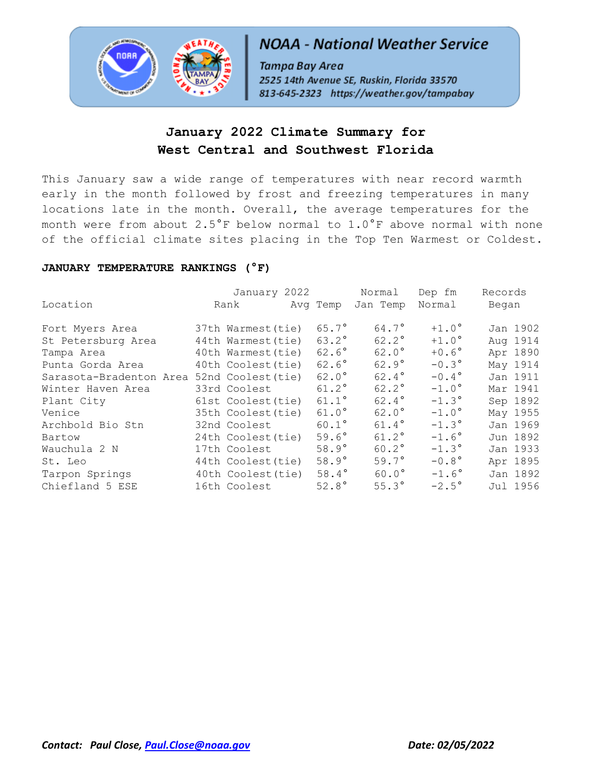

# **NOAA - National Weather Service**

Tampa Bay Area 2525 14th Avenue SE, Ruskin, Florida 33570 813-645-2323 https://weather.gov/tampabay

## **January 2022 Climate Summary for West Central and Southwest Florida**

This January saw a wide range of temperatures with near record warmth early in the month followed by frost and freezing temperatures in many locations late in the month. Overall, the average temperatures for the month were from about 2.5°F below normal to 1.0°F above normal with none of the official climate sites placing in the Top Ten Warmest or Coldest.

### **JANUARY TEMPERATURE RANKINGS (°F)**

|                         | January 2022       |                | Normal         | Dep fm         | Records  |
|-------------------------|--------------------|----------------|----------------|----------------|----------|
| Location                | Rank               | Avg Temp       | Jan Temp       | Normal         | Began    |
| Fort Myers Area         | 37th Warmest(tie)  | $65.7^{\circ}$ | $64.7^\circ$   | $+1.0^\circ$   | Jan 1902 |
| St Petersburg Area      | 44th Warmest (tie) | $63.2^{\circ}$ | $62.2^\circ$   | $+1.0^\circ$   | Aug 1914 |
| Tampa Area              | 40th Warmest (tie) | $62.6^\circ$   | $62.0^\circ$   | $+0.6^\circ$   | Apr 1890 |
| Punta Gorda Area        | 40th Coolest (tie) | $62.6^\circ$   | $62.9^\circ$   | $-0.3^{\circ}$ | May 1914 |
| Sarasota-Bradenton Area | 52nd Coolest (tie) | $62.0^\circ$   | $62.4^{\circ}$ | $-0.4^{\circ}$ | Jan 1911 |
| Winter Haven Area       | 33rd Coolest       | $61.2^{\circ}$ | $62.2^\circ$   | $-1.0^\circ$   | Mar 1941 |
| Plant City              | 61st Coolest(tie)  | $61.1^{\circ}$ | $62.4^{\circ}$ | $-1.3^{\circ}$ | Sep 1892 |
| Venice                  | 35th Coolest (tie) | $61.0^\circ$   | $62.0^\circ$   | $-1.0^\circ$   | May 1955 |
| Archbold Bio Stn        | 32nd Coolest       | $60.1^{\circ}$ | $61.4^{\circ}$ | $-1.3^{\circ}$ | Jan 1969 |
| Bartow                  | 24th Coolest (tie) | $59.6^\circ$   | $61.2^{\circ}$ | $-1.6^{\circ}$ | Jun 1892 |
| Wauchula 2 N            | 17th Coolest       | $58.9^\circ$   | $60.2^{\circ}$ | $-1.3^{\circ}$ | Jan 1933 |
| St. Leo                 | 44th Coolest (tie) | $58.9^\circ$   | $59.7^\circ$   | $-0.8^{\circ}$ | Apr 1895 |
| Tarpon Springs          | 40th Coolest (tie) | $58.4^\circ$   | $60.0^\circ$   | $-1.6^\circ$   | Jan 1892 |
| Chiefland 5 ESE         | 16th Coolest       | $52.8^\circ$   | $55.3^\circ$   | $-2.5^{\circ}$ | Jul 1956 |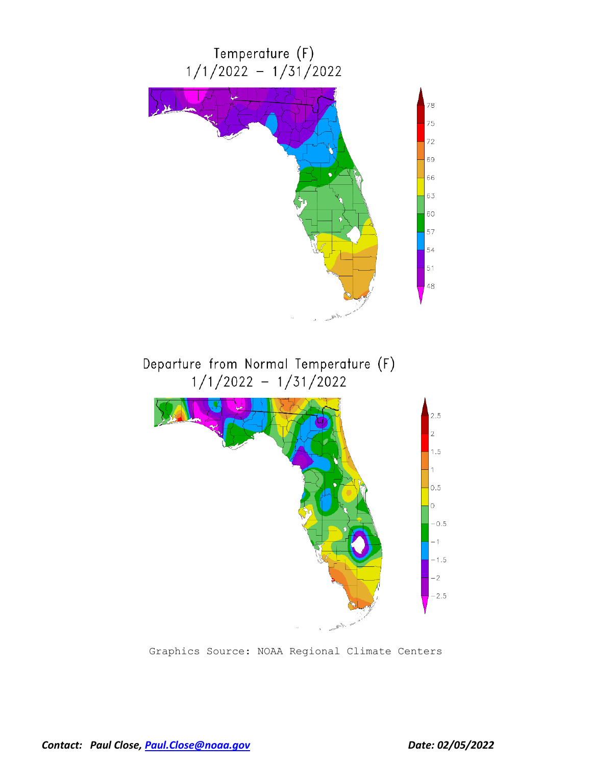

Graphics Source: NOAA Regional Climate Centers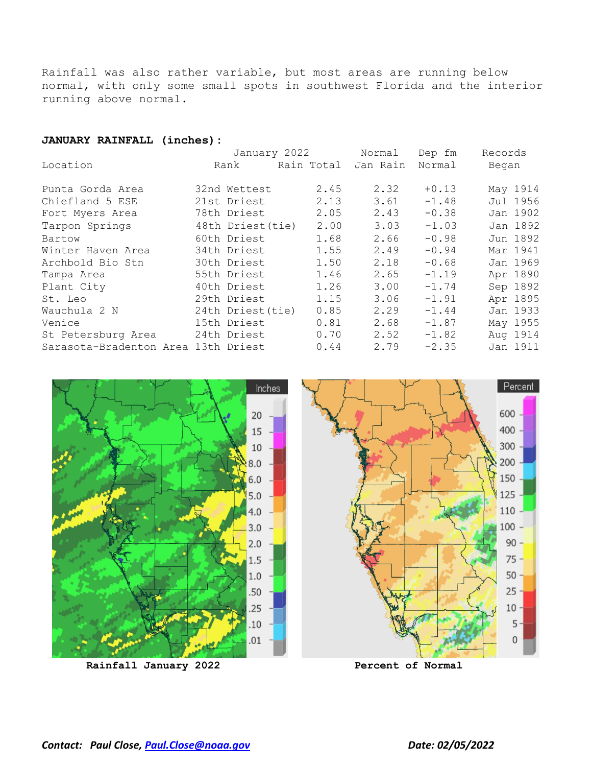Rainfall was also rather variable, but most areas are running below normal, with only some small spots in southwest Florida and the interior running above normal.

#### **JANUARY RAINFALL (inches):**

|                                     |  | January 2022      |            | Normal   | Dep fm  | Records |          |
|-------------------------------------|--|-------------------|------------|----------|---------|---------|----------|
| Location                            |  | Rank              | Rain Total | Jan Rain | Normal  | Began   |          |
| Punta Gorda Area                    |  | 32nd Wettest      | 2.45       | 2.32     | $+0.13$ |         | May 1914 |
| Chiefland 5 ESE                     |  | 21st Driest       | 2.13       | 3.61     | $-1.48$ |         | Jul 1956 |
| Fort Myers Area                     |  | 78th Driest       | 2.05       | 2.43     | $-0.38$ |         | Jan 1902 |
| Tarpon Springs                      |  | 48th Driest(tie)  | 2.00       | 3.03     | $-1.03$ |         | Jan 1892 |
| Bartow                              |  | 60th Driest       | 1.68       | 2.66     | $-0.98$ |         | Jun 1892 |
| Winter Haven Area                   |  | 34th Driest       | 1.55       | 2.49     | $-0.94$ |         | Mar 1941 |
| Archbold Bio Stn                    |  | 30th Driest       | 1.50       | 2.18     | $-0.68$ |         | Jan 1969 |
| Tampa Area                          |  | 55th Driest       | 1.46       | 2.65     | $-1.19$ |         | Apr 1890 |
| Plant City                          |  | 40th Driest       | 1.26       | 3.00     | $-1.74$ |         | Sep 1892 |
| St. Leo                             |  | 29th Driest       | 1.15       | 3.06     | $-1.91$ |         | Apr 1895 |
| Wauchula 2 N                        |  | 24th Driest (tie) | 0.85       | 2.29     | $-1.44$ |         | Jan 1933 |
| Venice                              |  | 15th Driest       | 0.81       | 2.68     | $-1.87$ |         | May 1955 |
| St Petersburg Area                  |  | 24th Driest       | 0.70       | 2.52     | $-1.82$ |         | Aug 1914 |
| Sarasota-Bradenton Area 13th Driest |  |                   | 0.44       | 2.79     | $-2.35$ |         | Jan 1911 |

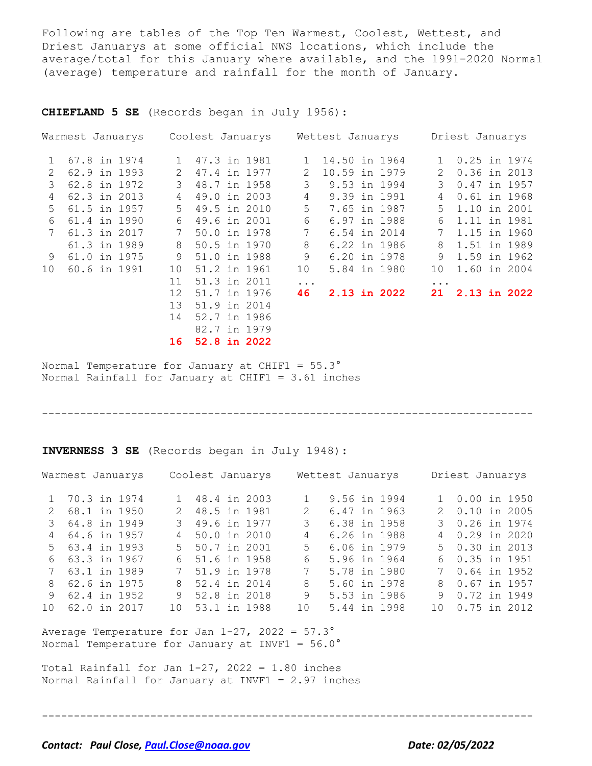Following are tables of the Top Ten Warmest, Coolest, Wettest, and Driest Januarys at some official NWS locations, which include the average/total for this January where available, and the 1991-2020 Normal (average) temperature and rainfall for the month of January.

**CHIEFLAND 5 SE** (Records began in July 1956):

|              | Warmest Januarys |                   | Coolest Januarys |              | Wettest Januarys |              | Driest Januarys |  |
|--------------|------------------|-------------------|------------------|--------------|------------------|--------------|-----------------|--|
| $\mathbf{1}$ | 67.8 in 1974     | 1                 | 47.3 in 1981     | $\mathbf{1}$ | 14.50 in 1964    | $\mathbf{1}$ | 0.25 in 1974    |  |
| 2            | 62.9 in 1993     | 2                 | 47.4 in 1977     | 2            | 10.59 in 1979    | 2            | 0.36 in 2013    |  |
| 3            | 62.8 in 1972     | 3                 | 48.7 in 1958     | 3            | 9.53 in 1994     | 3            | 0.47 in 1957    |  |
| 4            | 62.3 in 2013     | 4                 | 49.0 in 2003     | 4            | 9.39 in 1991     | 4            | 0.61 in 1968    |  |
| .5           | 61.5 in 1957     | $5 -$             | 49.5 in 2010     | 5            | 7.65 in 1987     | .5           | 1.10 in 2001    |  |
| 6            | 61.4 in 1990     | 6                 | 49.6 in 2001     | 6            | 6.97 in 1988     | 6            | 1.11 in 1981    |  |
|              | 61.3 in 2017     | 7                 | 50.0 in 1978     | 7            | 6.54 in 2014     | 7            | 1.15 in 1960    |  |
|              | 61.3 in 1989     | 8                 | 50.5 in 1970     | 8            | 6.22 in 1986     | 8            | 1.51 in 1989    |  |
| 9            | 61.0 in 1975     | 9                 | 51.0 in 1988     | 9            | 6.20 in 1978     | 9            | 1.59 in 1962    |  |
| 10           | 60.6 in 1991     | 10                | 51.2 in 1961     | 10           | 5.84 in 1980     | 10           | 1.60 in 2004    |  |
|              |                  | 11                | 51.3 in 2011     | $\cdots$     |                  | .            |                 |  |
|              |                  | $12 \overline{ }$ | 51.7 in 1976     | 46           | 2.13 in 2022     | 21           | 2.13 in 2022    |  |
|              |                  | 13 <sup>°</sup>   | 51.9 in 2014     |              |                  |              |                 |  |
|              |                  | 14                | 52.7 in 1986     |              |                  |              |                 |  |
|              |                  |                   | 82.7 in 1979     |              |                  |              |                 |  |
|              |                  | 16                | 52.8 in 2022     |              |                  |              |                 |  |

Normal Temperature for January at CHIF1 = 55.3° Normal Rainfall for January at CHIF1 = 3.61 inches

-----------------------------------------------------------------------------

**INVERNESS 3 SE** (Records began in July 1948):

|   | Warmest Januarys  | Coolest Januarys |  |               | Wettest Januarys |  |   | Driest Januarys |  |
|---|-------------------|------------------|--|---------------|------------------|--|---|-----------------|--|
|   | 1 70.3 in 1974    | 1 48.4 in 2003   |  |               | 9.56 in 1994     |  |   | 1 0.00 in 1950  |  |
|   | 2 68.1 in 1950    | 2 48.5 in 1981   |  | $\mathcal{P}$ | 6.47 in 1963     |  |   | 2 0.10 in 2005  |  |
|   | 3 64.8 in 1949    | 3 49.6 in 1977   |  | 3             | 6.38 in 1958     |  |   | 3 0.26 in 1974  |  |
|   | 4 64.6 in 1957    | 4 50.0 in 2010   |  | 4             | 6.26 in 1988     |  |   | 4 0.29 in 2020  |  |
|   | $5, 63.4$ in 1993 | 5 50.7 in 2001   |  | 5             | 6.06 in 1979     |  |   | 5 0.30 in 2013  |  |
|   | 6 63.3 in 1967    | 6 51.6 in 1958   |  | 6             | 5.96 in 1964     |  |   | 6 0.35 in 1951  |  |
|   | 7 63.1 in 1989    | 7 51.9 in 1978   |  | 7             | 5.78 in 1980     |  |   | 0.64 in 1952    |  |
| 8 | 62.6 in 1975      | 8 52.4 in 2014   |  | 8             | 5.60 in 1978     |  | 8 | 0.67 in 1957    |  |
| 9 | 62.4 in 1952      | 9 52.8 in 2018   |  | 9             | 5.53 in 1986     |  | 9 | 0.72 in 1949    |  |
|   | 10 62.0 in 2017   | 10 53.1 in 1988  |  | 10            | 5.44 in 1998     |  |   | 10 0.75 in 2012 |  |
|   |                   |                  |  |               |                  |  |   |                 |  |

-----------------------------------------------------------------------------

Average Temperature for Jan  $1-27$ ,  $2022 = 57.3^\circ$ Normal Temperature for January at INVF1 =  $56.0^\circ$ 

Total Rainfall for Jan  $1-27$ ,  $2022 = 1.80$  inches Normal Rainfall for January at INVF1 = 2.97 inches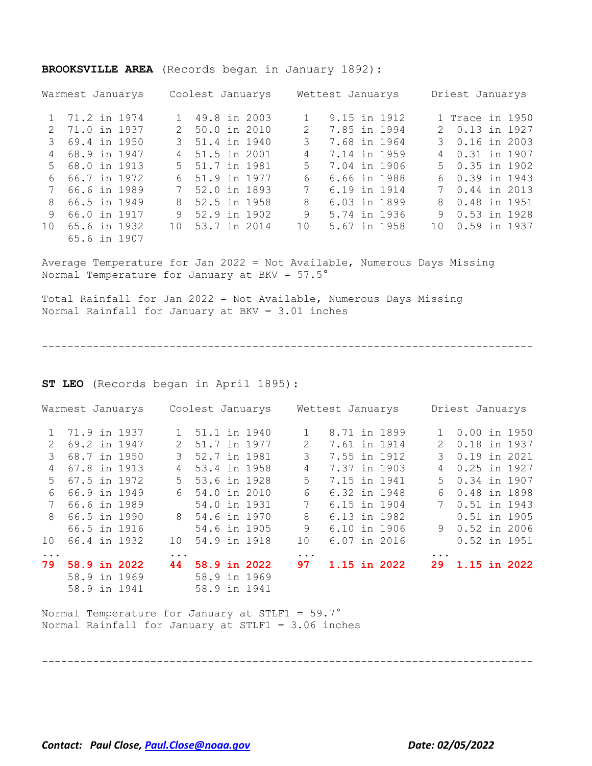#### **BROOKSVILLE AREA** (Records began in January 1892):

|                 | Warmest Januarys |                 | Coolest Januarys |               | Wettest Januarys |   | Driest Januarys     |
|-----------------|------------------|-----------------|------------------|---------------|------------------|---|---------------------|
|                 | 1 71.2 in 1974   |                 | 1 49.8 in 2003   |               | 9.15 in 1912     |   | 1 Trace in 1950     |
| 2.              | 71.0 in 1937     | $\mathcal{L}$   | 50.0 in 2010     | $\mathcal{L}$ | 7.85 in 1994     |   | 2 0.13 in 1927      |
|                 | 3 69.4 in 1950   |                 | 3 51.4 in 1940   | 3             | 7.68 in 1964     |   | 3 0.16 in 2003      |
| $\overline{4}$  | 68.9 in 1947     |                 | 4 51.5 in 2001   | 4             | 7.14 in 1959     |   | 4 0.31 in 1907      |
|                 | 5 68.0 in 1913   |                 | 5 51.7 in 1981   | 5.            | 7.04 in 1906     |   | $5 \t 0.35$ in 1902 |
| 6               | 66.7 in 1972     | 6               | 51.9 in 1977     | 6             | 6.66 in 1988     |   | 6 0.39 in 1943      |
| $7\phantom{0}$  | 66.6 in 1989     |                 | 7 52.0 in 1893   | 7             | 6.19 in 1914     |   | 7 0.44 in 2013      |
| 8               | 66.5 in 1949     | 8               | 52.5 in 1958     | 8             | 6.03 in 1899     |   | 8 0.48 in 1951      |
| 9               | 66.0 in 1917     |                 | 9 52.9 in 1902   | 9             | 5.74 in 1936     | 9 | 0.53 in 1928        |
| 10 <sup>1</sup> | 65.6 in 1932     | 10 <sup>1</sup> | 53.7 in 2014     | 10            | 5.67 in 1958     |   | 10 0.59 in 1937     |
|                 | 65.6 in 1907     |                 |                  |               |                  |   |                     |

Average Temperature for Jan 2022 = Not Available, Numerous Days Missing Normal Temperature for January at BKV = 57.5°

Total Rainfall for Jan 2022 = Not Available, Numerous Days Missing Normal Rainfall for January at BKV = 3.01 inches

-----------------------------------------------------------------------------

**ST LEO** (Records began in April 1895):

|               |  | Warmest Januarys |               | Coolest Januarys |              |    | Wettest Januarys |              |               | Driest Januarys |  |
|---------------|--|------------------|---------------|------------------|--------------|----|------------------|--------------|---------------|-----------------|--|
| $1 \quad$     |  | 71.9 in 1937     |               | 1 51.1 in 1940   |              |    | 8.71 in 1899     |              |               | $0.00$ in 1950  |  |
| $\mathcal{L}$ |  | 69.2 in 1947     | $2^{\circ}$   | 51.7 in 1977     |              | 2  | 7.61 in 1914     |              | $\mathcal{L}$ | 0.18 in 1937    |  |
| $\mathcal{E}$ |  | 68.7 in 1950     | $\mathcal{B}$ | 52.7 in 1981     |              | 3  | 7.55 in 1912     |              | 3             | 0.19 in 2021    |  |
| 4             |  | 67.8 in 1913     | 4             | 53.4 in 1958     |              | 4  | 7.37 in 1903     |              | 4             | 0.25 in 1927    |  |
| 5             |  | 67.5 in 1972     | $5 -$         | 53.6 in 1928     |              | 5  | 7.15 in 1941     |              | .5            | 0.34 in 1907    |  |
| 6             |  | 66.9 in 1949     |               | 6 54.0 in 2010   |              | 6  | 6.32 in 1948     |              | 6             | 0.48 in 1898    |  |
|               |  | 66.6 in 1989     |               |                  | 54.0 in 1931 | 7  | 6.15 in 1904     |              | 7             | 0.51 in 1943    |  |
| 8             |  | 66.5 in 1990     |               | 8 54.6 in 1970   |              | 8  | 6.13 in 1982     |              |               | $0.51$ in 1905  |  |
|               |  | 66.5 in 1916     |               | 54.6 in 1905     |              | 9  | 6.10 in 1906     |              |               | 9 0.52 in 2006  |  |
| 10            |  | 66.4 in 1932     | 10            | 54.9 in 1918     |              | 10 |                  | 6.07 in 2016 |               | 0.52 in 1951    |  |
| $\ddotsc$     |  |                  | $\cdot$       |                  |              | .  |                  |              | $\ddotsc$     |                 |  |
| 79            |  | 58.9 in 2022     | 44            | 58.9 in 2022     |              | 97 |                  | 1.15 in 2022 | 29            | 1.15 in 2022    |  |
|               |  | 58.9 in 1969     |               | 58.9 in 1969     |              |    |                  |              |               |                 |  |
|               |  | 58.9 in 1941     |               | 58.9 in 1941     |              |    |                  |              |               |                 |  |

Normal Temperature for January at STLF1 =  $59.7^\circ$ Normal Rainfall for January at STLF1 = 3.06 inches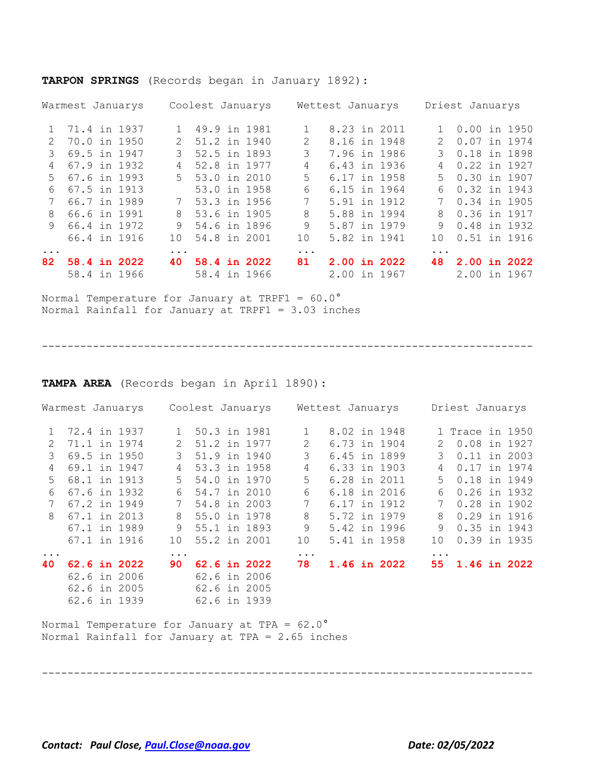|               | Warmest Januarys             |  |               | Coolest Januarys             |  |               | Wettest Januarys             |  |               | Driest Januarys              |  |
|---------------|------------------------------|--|---------------|------------------------------|--|---------------|------------------------------|--|---------------|------------------------------|--|
| $\mathbf{1}$  | 71.4 in 1937                 |  | $1 \quad$     | 49.9 in 1981                 |  |               | 8.23 in 2011                 |  | $1 \quad$     | $0.00$ in 1950               |  |
| $\mathcal{P}$ | 70.0 in 1950                 |  | $\mathcal{L}$ | 51.2 in 1940                 |  | $\mathcal{P}$ | 8.16 in 1948                 |  | $\mathcal{P}$ | 0.07 in 1974                 |  |
| 3             | 69.5 in 1947                 |  | 3             | 52.5 in 1893                 |  | 3             | 7.96 in 1986                 |  | $\mathcal{L}$ | 0.18 in 1898                 |  |
| 4             | 67.9 in 1932                 |  | 4             | 52.8 in 1977                 |  | 4             | 6.43 in 1936                 |  | 4             | 0.22 in 1927                 |  |
| .5            | 67.6 in 1993                 |  | $5 -$         | 53.0 in 2010                 |  | 5.            | 6.17 in 1958                 |  | 5.            | 0.30 in 1907                 |  |
| 6             | 67.5 in 1913                 |  |               | 53.0 in 1958                 |  | 6             | 6.15 in 1964                 |  | 6             | $0.32$ in 1943               |  |
|               | 66.7 in 1989                 |  |               | 7 53.3 in 1956               |  | 7             | 5.91 in 1912                 |  |               | 0.34 in 1905                 |  |
| 8             | 66.6 in 1991                 |  | 8             | 53.6 in 1905                 |  | 8             | 5.88 in 1994                 |  | 8             | 0.36 in 1917                 |  |
| 9.            | 66.4 in 1972                 |  | 9             | 54.6 in 1896                 |  | 9             | 5.87 in 1979                 |  | 9             | 0.48 in 1932                 |  |
|               | 66.4 in 1916                 |  | 10            | 54.8 in 2001                 |  | 10            | 5.82 in 1941                 |  | 10            | 0.51 in 1916                 |  |
| $\ddotsc$     |                              |  | $\ddotsc$     |                              |  | $\ddotsc$     |                              |  | $\cdots$      |                              |  |
| 82.           | 58.4 in 2022<br>58.4 in 1966 |  | 40            | 58.4 in 2022<br>58.4 in 1966 |  | 81            | 2.00 in 2022<br>2.00 in 1967 |  | 48            | 2.00 in 2022<br>2.00 in 1967 |  |

**TARPON SPRINGS** (Records began in January 1892):

Normal Temperature for January at TRPF1 =  $60.0^{\circ}$ Normal Rainfall for January at TRPF1 = 3.03 inches

-----------------------------------------------------------------------------

**TAMPA AREA** (Records began in April 1890):

|               | Warmest Januarys |              |               | Coolest Januarys |              |              | Wettest Januarys |              |               | Driest Januarys                 |  |
|---------------|------------------|--------------|---------------|------------------|--------------|--------------|------------------|--------------|---------------|---------------------------------|--|
| $\mathbf{1}$  |                  | 72.4 in 1937 | 1             | 50.3 in 1981     |              | $\mathbf{1}$ | 8.02 in 1948     |              |               | 1 Trace in 1950                 |  |
| $\mathcal{L}$ |                  | 71.1 in 1974 | $2^{\circ}$   | 51.2 in 1977     |              | 2            | 6.73 in 1904     |              | $\mathcal{L}$ | 0.08 in 1927                    |  |
| $\mathcal{E}$ |                  | 69.5 in 1950 | $\mathcal{E}$ | 51.9 in 1940     |              | 3            |                  | 6.45 in 1899 |               | $\mathcal{B}$<br>$0.11$ in 2003 |  |
| 4             |                  | 69.1 in 1947 | 4             | 53.3 in 1958     |              | 4            | 6.33 in 1903     |              | 4             | 0.17 in 1974                    |  |
| .5            |                  | 68.1 in 1913 | 5             | 54.0 in 1970     |              | 5            | 6.28 in 2011     |              | 5.            | 0.18 in 1949                    |  |
| 6             |                  | 67.6 in 1932 | 6             | 54.7 in 2010     |              | 6            | 6.18 in 2016     |              | 6             | 0.26 in 1932                    |  |
| 7             |                  | 67.2 in 1949 | 7             | 54.8 in 2003     |              | 7            | 6.17 in 1912     |              | 7             | 0.28 in 1902                    |  |
| 8             |                  | 67.1 in 2013 | 8             | 55.0 in 1978     |              | 8            |                  | 5.72 in 1979 | 8             | 0.29 in 1916                    |  |
|               |                  | 67.1 in 1989 | 9             | 55.1 in 1893     |              | 9            | 5.42 in 1996     |              | 9             | 0.35 in 1943                    |  |
|               |                  | 67.1 in 1916 | 10            | 55.2 in 2001     |              | 10           | 5.41 in 1958     |              | 10            | 0.39 in 1935                    |  |
|               |                  |              | $\cdots$      |                  |              | $\ddotsc$    |                  |              |               |                                 |  |
| 40            |                  | 62.6 in 2022 | 90            | 62.6 in 2022     |              | 78           | 1.46 in 2022     |              |               | 55 1.46 in 2022                 |  |
|               |                  | 62.6 in 2006 |               |                  | 62.6 in 2006 |              |                  |              |               |                                 |  |
|               |                  | 62.6 in 2005 |               | 62.6 in 2005     |              |              |                  |              |               |                                 |  |
|               |                  | 62.6 in 1939 |               | 62.6 in 1939     |              |              |                  |              |               |                                 |  |

-----------------------------------------------------------------------------

Normal Temperature for January at TPA = 62.0° Normal Rainfall for January at TPA = 2.65 inches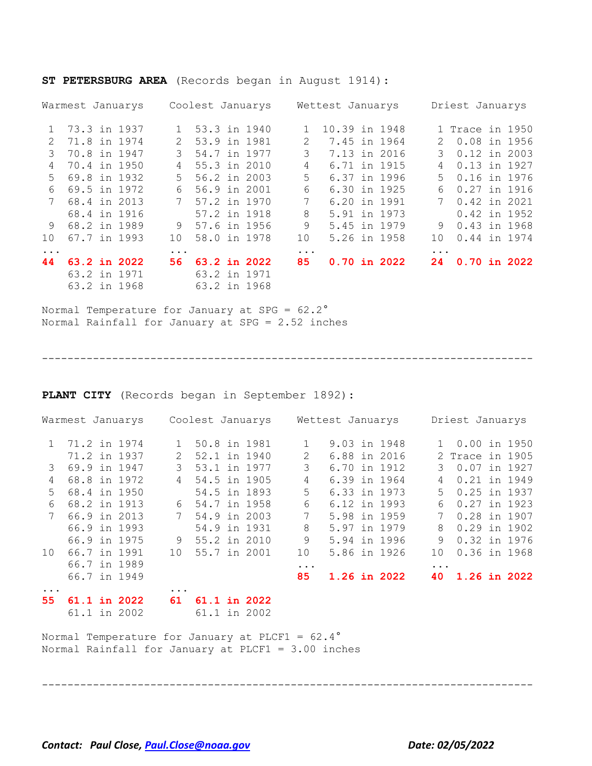|               | Warmest Januarys |  |                 | Coolest Januarys |              |                | Wettest Januarys |  |                  |               | Driest Januarys   |              |
|---------------|------------------|--|-----------------|------------------|--------------|----------------|------------------|--|------------------|---------------|-------------------|--------------|
| $\mathbf{1}$  | 73.3 in 1937     |  |                 | 1 53.3 in 1940   |              |                |                  |  | 10.39 in 1948    |               | 1 Trace in 1950   |              |
| $\mathcal{L}$ | 71.8 in 1974     |  | $\mathcal{L}$   | 53.9 in 1981     |              | $\overline{2}$ |                  |  | 7.45 in 1964     | $\mathcal{P}$ | 0.08 in 1956      |              |
| 3             | 70.8 in 1947     |  | 3               | 54.7 in 1977     |              | 3              |                  |  | 7.13 in 2016     | 3             | $0.12$ in 2003    |              |
| 4             | 70.4 in 1950     |  | 4               | 55.3 in 2010     |              | 4              |                  |  | 6.71 in 1915     | 4             | 0.13 in 1927      |              |
| .5            | 69.8 in 1932     |  | $5 -$           | 56.2 in 2003     |              | 5              |                  |  | 6.37 in 1996     | .5            | 0.16 in 1976      |              |
| 6             | 69.5 in 1972     |  | 6               | 56.9 in 2001     |              | 6              |                  |  | 6.30 in 1925     | 6             | 0.27 in 1916      |              |
|               | 68.4 in 2013     |  |                 | 7 57.2 in 1970   |              | 7              |                  |  | 6.20 in 1991     |               | 7<br>0.42 in 2021 |              |
|               | 68.4 in 1916     |  |                 | 57.2 in 1918     |              | 8              |                  |  | 5.91 in 1973     |               |                   | 0.42 in 1952 |
| 9             | 68.2 in 1989     |  |                 | 9 57.6 in 1956   |              | 9              |                  |  | 5.45 in 1979     | 9             | 0.43 in 1968      |              |
| 1 O           | 67.7 in 1993     |  | 10 <sup>°</sup> | 58.0 in 1978     |              | 10             |                  |  | 5.26 in 1958     | 1 O           | 0.44 in 1974      |              |
| $\ddots$      |                  |  | $\ddotsc$       |                  |              | $\ddots$       |                  |  |                  | $\ddotsc$     |                   |              |
| 44            | 63.2 in 2022     |  | 56.             |                  | 63.2 in 2022 | 85             |                  |  | $0.70$ in $2022$ | 24            | $0.70$ in 2022    |              |
|               | 63.2 in 1971     |  |                 | 63.2 in 1971     |              |                |                  |  |                  |               |                   |              |
|               | 63.2 in 1968     |  |                 | 63.2 in 1968     |              |                |                  |  |                  |               |                   |              |

**ST PETERSBURG AREA** (Records began in August 1914):

Normal Temperature for January at SPG = 62.2° Normal Rainfall for January at SPG = 2.52 inches

-----------------------------------------------------------------------------

**PLANT CITY** (Records began in September 1892):

|               | Warmest Januarys |              |                | Coolest Januarys |              |                | Wettest Januarys |                     |           | Driest Januarys |              |
|---------------|------------------|--------------|----------------|------------------|--------------|----------------|------------------|---------------------|-----------|-----------------|--------------|
|               | 1 71.2 in 1974   |              |                | 50.8 in 1981     |              |                | 9.03 in 1948     |                     |           | 1 0.00 in 1950  |              |
|               |                  | 71.2 in 1937 | 2              | 52.1 in 1940     |              | 2              |                  | 6.88 in 2016        |           | 2 Trace in 1905 |              |
| $\mathcal{S}$ |                  | 69.9 in 1947 | 3              | 53.1 in 1977     |              | 3              | 6.70 in 1912     |                     | 3         | 0.07 in 1927    |              |
| 4             |                  | 68.8 in 1972 | $\overline{4}$ | 54.5 in 1905     |              | 4              | 6.39 in 1964     |                     | 4         | 0.21 in 1949    |              |
| .5            |                  | 68.4 in 1950 |                |                  | 54.5 in 1893 | 5              | 6.33 in 1973     |                     | 5         | 0.25 in 1937    |              |
| 6             |                  | 68.2 in 1913 | 6              | 54.7 in 1958     |              | 6              | 6.12 in 1993     |                     | 6         | 0.27 in 1923    |              |
|               |                  | 66.9 in 2013 | 7              | 54.9 in 2003     |              | $7\phantom{.}$ | 5.98 in 1959     |                     |           |                 | 0.28 in 1907 |
|               |                  | 66.9 in 1993 |                | 54.9 in 1931     |              | 8              | 5.97 in 1979     |                     | 8         | $0.29$ in 1902  |              |
|               |                  | 66.9 in 1975 | 9              | 55.2 in 2010     |              | 9              |                  | 5.94 in 1996        | 9         | 0.32 in 1976    |              |
| 10            |                  | 66.7 in 1991 | 10             | 55.7 in 2001     |              | 10             | 5.86 in 1926     |                     | 10        |                 | 0.36 in 1968 |
|               |                  | 66.7 in 1989 |                |                  |              | $\ddots$ .     |                  |                     | $\ddotsc$ |                 |              |
|               |                  | 66.7 in 1949 |                |                  |              | 85             |                  | <b>1.26 in 2022</b> | 40        | 1.26 in 2022    |              |
| 55            |                  | 61.1 in 2022 | $\cdots$<br>61 |                  | 61.1 in 2022 |                |                  |                     |           |                 |              |

61.1 in 2002 61.1 in 2002

Normal Temperature for January at PLCF1 =  $62.4^{\circ}$ Normal Rainfall for January at PLCF1 = 3.00 inches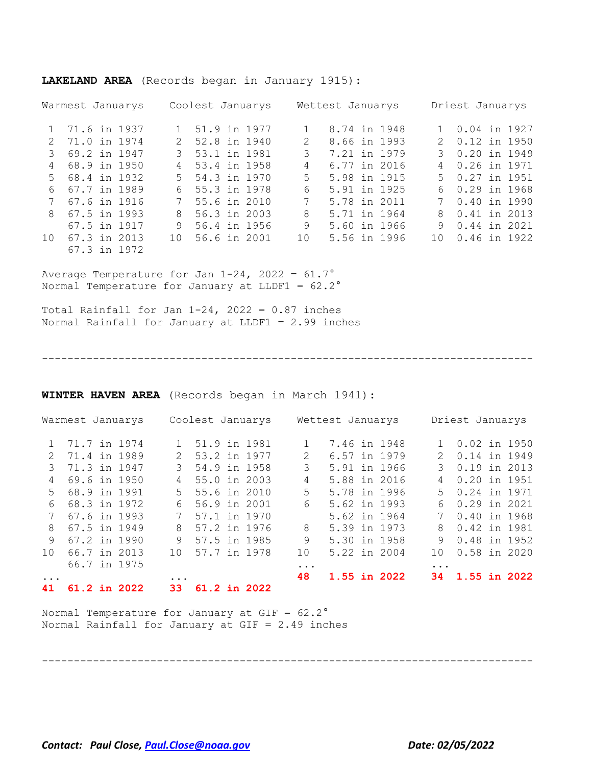|                 | Warmest Januarys |                 | Coolest Januarys |                 | Wettest Januarys |                 | Driest Januarys     |
|-----------------|------------------|-----------------|------------------|-----------------|------------------|-----------------|---------------------|
| 1               | 71.6 in 1937     |                 | 1 51.9 in 1977   |                 | 8.74 in 1948     |                 | 1 0.04 in 1927      |
| $\mathcal{P}$   | 71.0 in 1974     |                 | 2 52.8 in 1940   | $\mathcal{L}$   | 8.66 in 1993     |                 | 2 0.12 in 1950      |
| 3               | 69.2 in 1947     |                 | 3 53.1 in 1981   | 3               | 7.21 in 1979     |                 | 3 0.20 in 1949      |
| 4               | 68.9 in 1950     |                 | 4 53.4 in 1958   | 4               | 6.77 in 2016     | $\overline{4}$  | 0.26 in 1971        |
|                 | 5 68.4 in 1932   |                 | 5 54.3 in 1970   | 5               | 5.98 in 1915     |                 | $5 \t 0.27$ in 1951 |
| 6               | 67.7 in 1989     |                 | 6 55.3 in 1978   | 6               | 5.91 in 1925     |                 | 6 0.29 in 1968      |
|                 | 67.6 in 1916     |                 | 7 55.6 in 2010   | 7               | 5.78 in 2011     | 7               | 0.40 in 1990        |
| $\mathcal{R}$   | 67.5 in 1993     | 8               | 56.3 in 2003     | 8               | 5.71 in 1964     |                 | 8 0.41 in 2013      |
|                 | 67.5 in 1917     | 9               | 56.4 in 1956     | 9               | 5.60 in 1966     | 9               | 0.44 in 2021        |
| 10 <sup>1</sup> | 67.3 in 2013     | 10 <sup>1</sup> | 56.6 in 2001     | 10 <sup>°</sup> | 5.56 in 1996     | 10 <sup>1</sup> | 0.46 in 1922        |
|                 | 67.3 in 1972     |                 |                  |                 |                  |                 |                     |

**LAKELAND AREA** (Records began in January 1915):

Average Temperature for Jan  $1-24$ ,  $2022 = 61.7^\circ$ Normal Temperature for January at LLDF1 = 62.2°

Total Rainfall for Jan  $1-24$ ,  $2022 = 0.87$  inches Normal Rainfall for January at LLDF1 = 2.99 inches

-----------------------------------------------------------------------------

**WINTER HAVEN AREA** (Records began in March 1941):

|                 | Warmest Januarys |  |                 | Coolest Januarys |  |               | Wettest Januarys |  |                 | Driest Januarys |  |
|-----------------|------------------|--|-----------------|------------------|--|---------------|------------------|--|-----------------|-----------------|--|
|                 | 1 71.7 in 1974   |  |                 | 1 51.9 in 1981   |  |               | 7.46 in 1948     |  |                 | 1 0.02 in 1950  |  |
| $\mathcal{D}$   | 71.4 in 1989     |  | $2^{\circ}$     | 53.2 in 1977     |  | $\mathcal{L}$ | 6.57 in 1979     |  | $\mathcal{P}$   | 0.14 in 1949    |  |
| 3               | 71.3 in 1947     |  | 3               | 54.9 in 1958     |  | 3             | 5.91 in 1966     |  | 3               | 0.19 in 2013    |  |
| 4               | 69.6 in 1950     |  | $\overline{4}$  | 55.0 in 2003     |  | 4             | 5.88 in 2016     |  | 4               | 0.20 in 1951    |  |
| $5 -$           | 68.9 in 1991     |  | .5              | 55.6 in 2010     |  | 5             | 5.78 in 1996     |  | .5              | 0.24 in 1971    |  |
| 6               | 68.3 in 1972     |  | 6               | 56.9 in 2001     |  | 6             | 5.62 in 1993     |  | 6               | 0.29 in 2021    |  |
|                 | 67.6 in 1993     |  |                 | 7 57.1 in 1970   |  |               | 5.62 in 1964     |  | 7               | 0.40 in 1968    |  |
| 8               | 67.5 in 1949     |  | 8               | 57.2 in 1976     |  | 8             | 5.39 in 1973     |  | 8               | 0.42 in 1981    |  |
| 9               | 67.2 in 1990     |  | 9               | 57.5 in 1985     |  | 9             | 5.30 in 1958     |  | 9               | 0.48 in 1952    |  |
| 10 <sup>1</sup> | 66.7 in 2013     |  | 10 <sup>1</sup> | 57.7 in 1978     |  | 10            | 5.22 in 2004     |  | 10 <sup>1</sup> | $0.58$ in 2020  |  |
|                 | 66.7 in 1975     |  |                 |                  |  | $\ddotsc$     |                  |  | $\cdots$        |                 |  |
| $\ddotsc$       |                  |  | $\ddotsc$       |                  |  | 48            | 1.55 in 2022     |  |                 | 34 1.55 in 2022 |  |
| 41              | $61.2$ in 2022   |  | 33.             | 61.2 in 2022     |  |               |                  |  |                 |                 |  |

-----------------------------------------------------------------------------

Normal Temperature for January at  $GIF = 62.2^\circ$ Normal Rainfall for January at GIF = 2.49 inches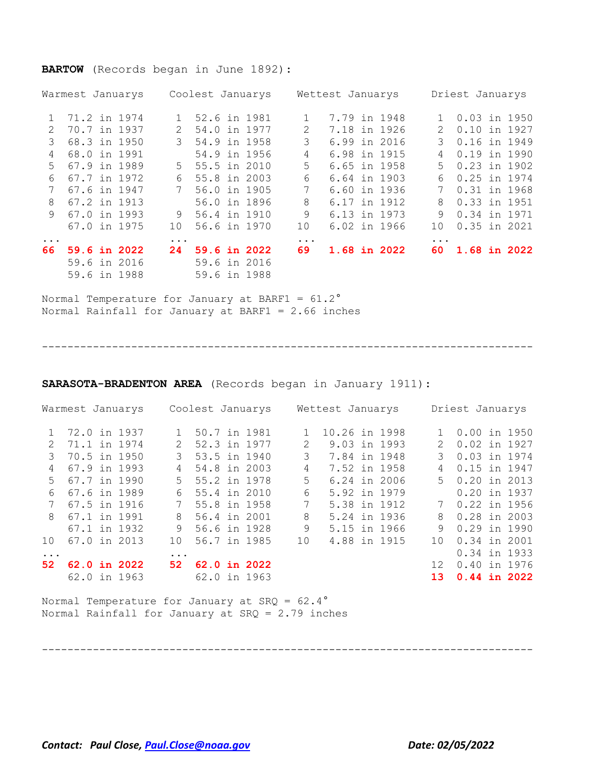#### **BARTOW** (Records began in June 1892):

|               | Warmest Januarys | Coolest Januarys            | Wettest Januarys   | Driest Januarys               |  |  |  |
|---------------|------------------|-----------------------------|--------------------|-------------------------------|--|--|--|
|               | 71.2 in 1974     | 1 52.6 in 1981              | 7.79 in 1948       | 0.03 in 1950                  |  |  |  |
| $\mathcal{L}$ | 70.7 in 1937     | 54.0 in 1977<br>$2^{\circ}$ | 7.18 in 1926<br>2  | 0.10 in 1927<br>$\mathcal{L}$ |  |  |  |
| 3             | 68.3 in 1950     | 54.9 in 1958<br>3           | 3<br>6.99 in 2016  | 0.16 in 1949<br>3             |  |  |  |
| 4             | 68.0 in 1991     | 54.9 in 1956                | 4<br>6.98 in 1915  | 0.19 in 1990<br>4             |  |  |  |
| $5 -$         | 67.9 in 1989     | 5 55.5 in 2010              | 5<br>6.65 in 1958  | 0.23 in 1902<br>.5            |  |  |  |
| 6             | 67.7 in 1972     | 55.8 in 2003<br>6           | 6<br>6.64 in 1903  | 0.25 in 1974<br>6             |  |  |  |
|               | 67.6 in 1947     | 56.0 in 1905                | 7<br>6.60 in 1936  | 0.31 in 1968<br>7             |  |  |  |
| 8             | 67.2 in 1913     | 56.0 in 1896                | 8<br>6.17 in 1912  | 0.33 in 1951<br>8             |  |  |  |
| 9             | 67.0 in 1993     | 9 56.4 in 1910              | 9<br>6.13 in 1973  | 0.34 in 1971<br>9             |  |  |  |
|               | 67.0 in 1975     | 56.6 in 1970<br>10          | 6.02 in 1966<br>10 | $0.35$ in 2021<br>10          |  |  |  |
| $\ddots$      |                  | $\ddotsc$                   | $\ddots$           | $\ddotsc$                     |  |  |  |
| 66.           | 59.6 in 2022     | 59.6 in 2022<br>24          | 69<br>1.68 in 2022 | 1.68 in 2022<br>60.           |  |  |  |
|               | 59.6 in 2016     | 59.6 in 2016                |                    |                               |  |  |  |
|               | 59.6 in 1988     | 59.6 in 1988                |                    |                               |  |  |  |

Normal Temperature for January at BARF1 = 61.2° Normal Rainfall for January at BARF1 = 2.66 inches

-----------------------------------------------------------------------------

**SARASOTA-BRADENTON AREA** (Records began in January 1911):

| Warmest Januarys |              |  |              | Coolest Januarys |              |  |  | Wettest Januarys |               |  |  | Driest Januarys |                |  |  |
|------------------|--------------|--|--------------|------------------|--------------|--|--|------------------|---------------|--|--|-----------------|----------------|--|--|
|                  | 72.0 in 1937 |  |              |                  | 50.7 in 1981 |  |  |                  | 10.26 in 1998 |  |  |                 | $0.00$ in 1950 |  |  |
| $\mathcal{L}$    | 71.1 in 1974 |  |              | $\mathcal{L}$    | 52.3 in 1977 |  |  | 2                | 9.03 in 1993  |  |  |                 | 0.02 in 1927   |  |  |
| 3                | 70.5 in 1950 |  |              | 3                | 53.5 in 1940 |  |  | 3                | 7.84 in 1948  |  |  | 3               | 0.03 in 1974   |  |  |
| 4                | 67.9 in 1993 |  |              | 4                | 54.8 in 2003 |  |  | 4                | 7.52 in 1958  |  |  | 4               | 0.15 in 1947   |  |  |
| .5               | 67.7 in 1990 |  |              | .5               | 55.2 in 1978 |  |  | 5                | 6.24 in 2006  |  |  |                 | 5 0.20 in 2013 |  |  |
| 6                | 67.6 in 1989 |  |              | 6                | 55.4 in 2010 |  |  | 6                | 5.92 in 1979  |  |  |                 | 0.20 in 1937   |  |  |
|                  | 67.5 in 1916 |  |              |                  | 55.8 in 1958 |  |  | 7                | 5.38 in 1912  |  |  |                 | 0.22 in 1956   |  |  |
| 8                | 67.1 in 1991 |  |              | 8                | 56.4 in 2001 |  |  | 8                | 5.24 in 1936  |  |  | 8               | $0.28$ in 2003 |  |  |
|                  | 67.1 in 1932 |  |              | 9                | 56.6 in 1928 |  |  | 9                | 5.15 in 1966  |  |  | 9               | 0.29 in 1990   |  |  |
| 10               | 67.0 in 2013 |  |              | 10 <sup>°</sup>  | 56.7 in 1985 |  |  | 10               | 4.88 in 1915  |  |  | 10 <sup>°</sup> | 0.34 in 2001   |  |  |
| $\ddots$ .       |              |  |              | $\ddotsc$        |              |  |  |                  |               |  |  |                 | 0.34 in 1933   |  |  |
| 52               |              |  | 62.0 in 2022 | 52               | 62.0 in 2022 |  |  |                  |               |  |  | 12 <sup>1</sup> | 0.40 in 1976   |  |  |
|                  | 62.0 in 1963 |  |              |                  | 62.0 in 1963 |  |  |                  |               |  |  | 13 <sup>1</sup> | $0.44$ in 2022 |  |  |

-----------------------------------------------------------------------------

Normal Temperature for January at SRQ = 62.4° Normal Rainfall for January at SRQ = 2.79 inches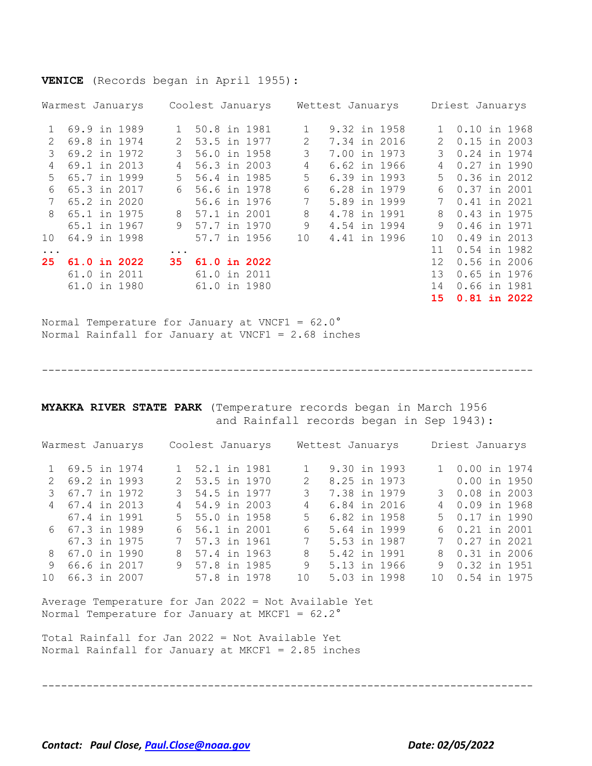**VENICE** (Records began in April 1955):

| Warmest Januarys |                     |  | Coolest Januarys |              |  |              | Wettest Januarys |              |  |  |                   | Driest Januarys |  |  |  |
|------------------|---------------------|--|------------------|--------------|--|--------------|------------------|--------------|--|--|-------------------|-----------------|--|--|--|
|                  | 69.9 in 1989        |  |                  | 50.8 in 1981 |  |              |                  | 9.32 in 1958 |  |  |                   | 0.10 in 1968    |  |  |  |
| $\mathcal{L}$    | 69.8 in 1974        |  |                  | 53.5 in 1977 |  |              | 2                | 7.34 in 2016 |  |  | 2                 | $0.15$ in 2003  |  |  |  |
| 3                | 69.2 in 1972        |  | 3                | 56.0 in 1958 |  |              | 3                | 7.00 in 1973 |  |  | 3                 | 0.24 in 1974    |  |  |  |
| 4                | 69.1 in 2013        |  | 4                |              |  | 56.3 in 2003 | 4                | 6.62 in 1966 |  |  | 4                 | 0.27 in 1990    |  |  |  |
| $5^{\circ}$      | 65.7 in 1999        |  | .5               | 56.4 in 1985 |  |              | 5                | 6.39 in 1993 |  |  | 5                 | 0.36 in 2012    |  |  |  |
| 6                | 65.3 in 2017        |  | 6                |              |  | 56.6 in 1978 | 6                | 6.28 in 1979 |  |  | 6                 | 0.37 in 2001    |  |  |  |
|                  | 65.2 in 2020        |  |                  |              |  | 56.6 in 1976 | 7                | 5.89 in 1999 |  |  |                   | 0.41 in 2021    |  |  |  |
| 8                | 65.1 in 1975        |  | 8                | 57.1 in 2001 |  |              | 8                | 4.78 in 1991 |  |  | 8                 | 0.43 in 1975    |  |  |  |
|                  | 65.1 in 1967        |  | 9                | 57.7 in 1970 |  |              | 9                | 4.54 in 1994 |  |  | 9                 | 0.46 in 1971    |  |  |  |
| 10               | 64.9 in 1998        |  |                  | 57.7 in 1956 |  |              | 10               | 4.41 in 1996 |  |  | 10                | 0.49 in 2013    |  |  |  |
| $\ddots$ .       |                     |  | $\cdots$         |              |  |              |                  |              |  |  | 11                | 0.54 in 1982    |  |  |  |
| 25               | <b>61.0 in 2022</b> |  | 35               |              |  | 61.0 in 2022 |                  |              |  |  | $12 \overline{ }$ | $0.56$ in 2006  |  |  |  |
|                  | 61.0 in 2011        |  |                  | 61.0 in 2011 |  |              |                  |              |  |  | 13                | 0.65 in 1976    |  |  |  |
|                  | 61.0 in 1980        |  |                  | 61.0 in 1980 |  |              |                  |              |  |  | 14                | 0.66 in 1981    |  |  |  |
|                  |                     |  |                  |              |  |              |                  |              |  |  | 15 <sub>1</sub>   | $0.81$ in 2022  |  |  |  |

Normal Temperature for January at VNCF1 =  $62.0^{\circ}$ Normal Rainfall for January at VNCF1 = 2.68 inches

-----------------------------------------------------------------------------

**MYAKKA RIVER STATE PARK** (Temperature records began in March 1956 and Rainfall records began in Sep 1943):

| Warmest Januarys |                 |  | Coolest Januarys |                |  |  |                 | Wettest Januarys |  |  |  | Driest Januarys |  |  |  |
|------------------|-----------------|--|------------------|----------------|--|--|-----------------|------------------|--|--|--|-----------------|--|--|--|
|                  | 1 69.5 in 1974  |  |                  | 1 52.1 in 1981 |  |  |                 | 9.30 in 1993     |  |  |  | 1 0.00 in 1974  |  |  |  |
|                  | 2 69.2 in 1993  |  |                  | 2 53.5 in 1970 |  |  | $\mathcal{L}$   | 8.25 in 1973     |  |  |  | $0.00$ in 1950  |  |  |  |
|                  | 3 67.7 in 1972  |  |                  | 3 54.5 in 1977 |  |  | 3               | 7.38 in 1979     |  |  |  | 3 0.08 in 2003  |  |  |  |
|                  | 4 67.4 in 2013  |  |                  | 4 54.9 in 2003 |  |  | 4               | 6.84 in 2016     |  |  |  | 4 0.09 in 1968  |  |  |  |
|                  | 67.4 in 1991    |  |                  | 5 55.0 in 1958 |  |  | 5.              | 6.82 in 1958     |  |  |  | 5 0.17 in 1990  |  |  |  |
|                  | 6 67.3 in 1989  |  |                  | 6 56.1 in 2001 |  |  | 6               | 5.64 in 1999     |  |  |  | 6 0.21 in 2001  |  |  |  |
|                  | 67.3 in 1975    |  |                  | 7 57.3 in 1961 |  |  | $7\phantom{.0}$ | 5.53 in 1987     |  |  |  | 7 0.27 in 2021  |  |  |  |
| 8                | 67.0 in 1990    |  |                  | 8 57.4 in 1963 |  |  | 8               | 5.42 in 1991     |  |  |  | 8 0.31 in 2006  |  |  |  |
|                  | 66.6 in 2017    |  |                  | 9 57.8 in 1985 |  |  | 9               | 5.13 in 1966     |  |  |  | 9 0.32 in 1951  |  |  |  |
|                  | 10 66.3 in 2007 |  |                  | 57.8 in 1978   |  |  | 10              | 5.03 in 1998     |  |  |  | 10 0.54 in 1975 |  |  |  |

Average Temperature for Jan 2022 = Not Available Yet Normal Temperature for January at MKCF1 =  $62.2^\circ$ 

Total Rainfall for Jan 2022 = Not Available Yet Normal Rainfall for January at MKCF1 = 2.85 inches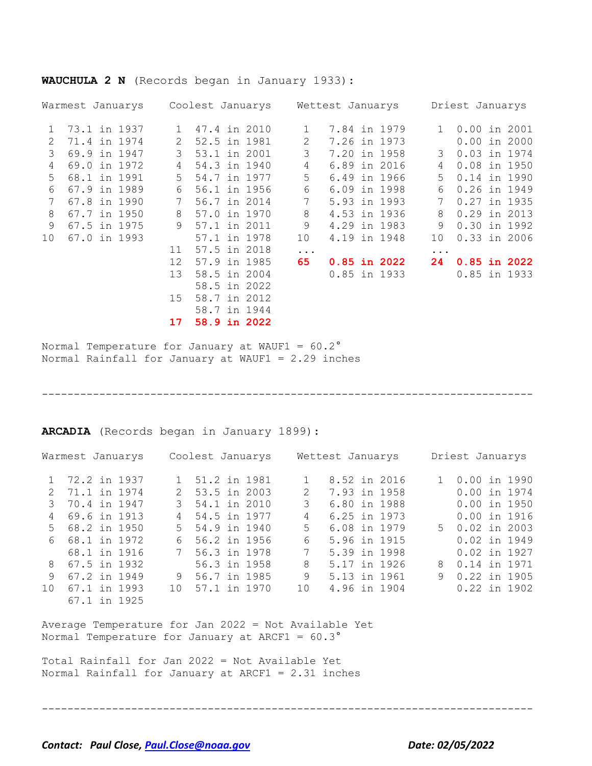| Warmest Januarys |              |              | Coolest Januarys |    | Wettest Januarys |                  | Driest Januarys |                  |  |  |
|------------------|--------------|--------------|------------------|----|------------------|------------------|-----------------|------------------|--|--|
| 1                | 73.1 in 1937 | $\mathbf{1}$ | 47.4 in 2010     | 1  |                  | 7.84 in 1979     | $\mathbf{1}$    | $0.00$ in 2001   |  |  |
| 2                | 71.4 in 1974 | 2            | 52.5 in 1981     | 2  |                  | 7.26 in 1973     |                 | $0.00$ in 2000   |  |  |
| 3                | 69.9 in 1947 | 3            | 53.1 in 2001     | 3  |                  | 7.20 in 1958     | 3               | 0.03 in 1974     |  |  |
| 4                | 69.0 in 1972 | 4            | 54.3 in 1940     | 4  |                  | 6.89 in 2016     | 4               | 0.08 in 1950     |  |  |
| 5                | 68.1 in 1991 | 5            | 54.7 in 1977     | 5  |                  | 6.49 in 1966     | 5               | 0.14 in 1990     |  |  |
| 6                | 67.9 in 1989 | 6            | 56.1 in 1956     | 6  |                  | 6.09 in 1998     | 6               | 0.26 in 1949     |  |  |
| 7                | 67.8 in 1990 | 7            | 56.7 in 2014     | 7  |                  | 5.93 in 1993     | 7               | 0.27 in 1935     |  |  |
| 8                | 67.7 in 1950 | 8            | 57.0 in 1970     | 8  |                  | 4.53 in 1936     | 8               | 0.29 in 2013     |  |  |
| 9                | 67.5 in 1975 | 9            | 57.1 in 2011     | 9  |                  | 4.29 in 1983     | 9               | 0.30 in 1992     |  |  |
| 10               | 67.0 in 1993 |              | 57.1 in 1978     | 10 |                  | 4.19 in 1948     | 10              | $0.33$ in 2006   |  |  |
|                  |              | 11           | 57.5 in 2018     | .  |                  |                  | $\cdots$        |                  |  |  |
|                  |              | 12           | 57.9 in 1985     | 65 |                  | $0.85$ in $2022$ | 24              | $0.85$ in $2022$ |  |  |
|                  |              | 13           | 58.5 in 2004     |    |                  | 0.85 in 1933     |                 | 0.85 in 1933     |  |  |
|                  |              |              | 58.5 in 2022     |    |                  |                  |                 |                  |  |  |
|                  |              | 15           | 58.7 in 2012     |    |                  |                  |                 |                  |  |  |
|                  |              |              | 58.7 in 1944     |    |                  |                  |                 |                  |  |  |
|                  |              | 17           | 58.9 in 2022     |    |                  |                  |                 |                  |  |  |

**WAUCHULA 2 N** (Records began in January 1933):

Normal Temperature for January at WAUF1 =  $60.2^\circ$ Normal Rainfall for January at WAUF1 = 2.29 inches

-----------------------------------------------------------------------------

**ARCADIA** (Records began in January 1899):

|                 | Warmest Januarys |     | Coolest Januarys |                 | Wettest Januarys | Driest Januarys |                 |  |  |  |
|-----------------|------------------|-----|------------------|-----------------|------------------|-----------------|-----------------|--|--|--|
|                 | 1 72.2 in 1937   |     | 1 51.2 in 1981   |                 | 8.52 in 2016     |                 | 0.00 in 1990    |  |  |  |
| $\mathcal{P}$   | 71.1 in 1974     |     | 2 53.5 in 2003   | $\mathcal{L}$   | 7.93 in 1958     |                 | $0.00$ in 1974  |  |  |  |
| 3               | 70.4 in 1947     |     | 3 54.1 in 2010   | 3               | 6.80 in 1988     |                 | $0.00$ in 1950  |  |  |  |
| 4               | 69.6 in 1913     |     | 4 54.5 in 1977   | 4               | 6.25 in 1973     |                 | $0.00$ in 1916  |  |  |  |
|                 | 5 68.2 in 1950   |     | 5 54.9 in 1940   | 5.              | 6.08 in 1979     |                 | $50.02$ in 2003 |  |  |  |
| 6               | 68.1 in 1972     | 6   | 56.2 in 1956     | 6               | 5.96 in 1915     |                 | 0.02 in 1949    |  |  |  |
|                 | 68.1 in 1916     |     | 7 56.3 in 1978   | 7               | 5.39 in 1998     |                 | 0.02 in 1927    |  |  |  |
|                 | 8 67.5 in 1932   |     | 56.3 in 1958     | 8               | 5.17 in 1926     |                 | 8 0.14 in 1971  |  |  |  |
| 9               | 67.2 in 1949     |     | 9 56.7 in 1985   | 9               | 5.13 in 1961     | 9               | 0.22 in 1905    |  |  |  |
| 10 <sup>°</sup> | 67.1 in 1993     | 1 O | 57.1 in 1970     | 10 <sup>°</sup> | 4.96 in 1904     |                 | $0.22$ in 1902  |  |  |  |
|                 | 67.1 in 1925     |     |                  |                 |                  |                 |                 |  |  |  |

Average Temperature for Jan 2022 = Not Available Yet Normal Temperature for January at ARCF1 =  $60.3^\circ$ 

Total Rainfall for Jan 2022 = Not Available Yet Normal Rainfall for January at ARCF1 = 2.31 inches

-----------------------------------------------------------------------------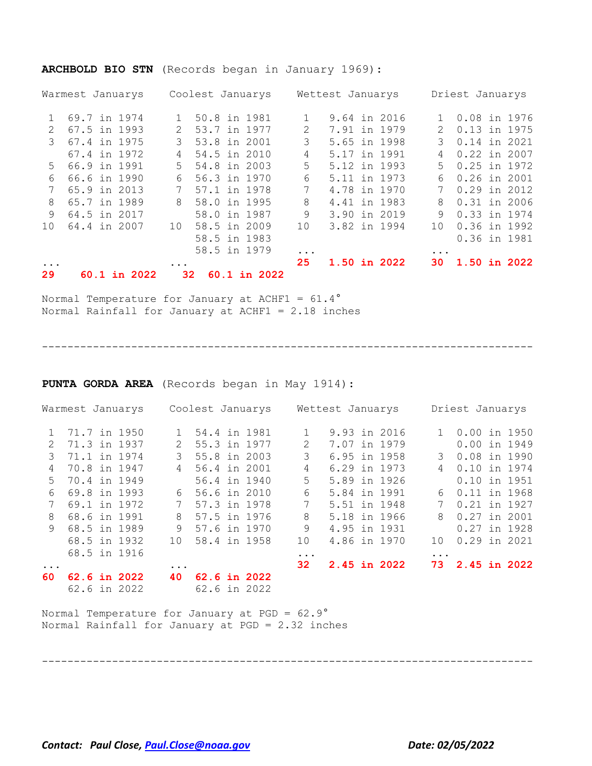#### **ARCHBOLD BIO STN** (Records began in January 1969):

|                 | Warmest Januarys | Coolest Januarys                  |    | Wettest Januarys | Driest Januarys |                |  |  |
|-----------------|------------------|-----------------------------------|----|------------------|-----------------|----------------|--|--|
|                 | 69.7 in 1974     | 50.8 in 1981                      |    | 9.64 in 2016     |                 | 0.08 in 1976   |  |  |
|                 | 67.5 in 1993     | 53.7 in 1977<br>$\mathcal{L}$     | 2  | 7.91 in 1979     | $\mathcal{L}$   | 0.13 in 1975   |  |  |
| 3               | 67.4 in 1975     | 53.8 in 2001<br>$\mathcal{L}$     | 3  | 5.65 in 1998     | 3               | 0.14 in 2021   |  |  |
|                 | 67.4 in 1972     | 54.5 in 2010<br>4                 | 4  | 5.17 in 1991     | 4               | $0.22$ in 2007 |  |  |
| .5              | 66.9 in 1991     | 54.8 in 2003<br>$5 -$             | 5  | 5.12 in 1993     | $5 -$           | 0.25 in 1972   |  |  |
| 6               | 66.6 in 1990     | 56.3 in 1970<br>6                 | 6  | 5.11 in 1973     | 6               | $0.26$ in 2001 |  |  |
|                 | 65.9 in 2013     | 57.1 in 1978                      | 7  | 4.78 in 1970     |                 | $0.29$ in 2012 |  |  |
| 8               | 65.7 in 1989     | 58.0 in 1995<br>8                 | 8  | 4.41 in 1983     | 8               | $0.31$ in 2006 |  |  |
| 9               | 64.5 in 2017     | 58.0 in 1987                      | 9  | 3.90 in 2019     | 9               | 0.33 in 1974   |  |  |
| 10 <sup>°</sup> | 64.4 in 2007     | 58.5 in 2009<br>10 <sup>°</sup>   | 10 | 3.82 in 1994     | 10 <sup>°</sup> | 0.36 in 1992   |  |  |
|                 |                  | 58.5 in 1983                      |    |                  |                 | 0.36 in 1981   |  |  |
|                 |                  | 58.5 in 1979                      | .  |                  | $\cdots$        |                |  |  |
|                 |                  |                                   | 25 | 1.50 in 2022     | 30              | 1.50 in 2022   |  |  |
| 29              | 60.1 in 2022     | $60.1$ in 2022<br>32 <sup>°</sup> |    |                  |                 |                |  |  |

Normal Temperature for January at ACHF1 = 61.4° Normal Rainfall for January at ACHF1 = 2.18 inches

-----------------------------------------------------------------------------

**PUNTA GORDA AREA** (Records began in May 1914):

| Warmest Januarys |              |  | Coolest Januarys |                |  |  | Wettest Januarys            |              |  |  | Driest Januarys |                |  |  |
|------------------|--------------|--|------------------|----------------|--|--|-----------------------------|--------------|--|--|-----------------|----------------|--|--|
|                  | 71.7 in 1950 |  |                  | 1 54.4 in 1981 |  |  |                             | 9.93 in 2016 |  |  | $\mathbf{1}$    | 0.00 in 1950   |  |  |
| $\mathcal{L}$    | 71.3 in 1937 |  | $\mathcal{L}$    | 55.3 in 1977   |  |  | $\mathcal{D}_{\mathcal{L}}$ | 7.07 in 1979 |  |  |                 | $0.00$ in 1949 |  |  |
| 3                | 71.1 in 1974 |  | 3                | 55.8 in 2003   |  |  | 3                           | 6.95 in 1958 |  |  | 3               | $0.08$ in 1990 |  |  |
| 4                | 70.8 in 1947 |  | 4                | 56.4 in 2001   |  |  | 4                           | 6.29 in 1973 |  |  | 4               | 0.10 in 1974   |  |  |
| .5               | 70.4 in 1949 |  |                  | 56.4 in 1940   |  |  | 5                           | 5.89 in 1926 |  |  |                 | 0.10 in 1951   |  |  |
| 6                | 69.8 in 1993 |  | 6                | 56.6 in 2010   |  |  | 6                           | 5.84 in 1991 |  |  | 6               | 0.11 in 1968   |  |  |
|                  | 69.1 in 1972 |  |                  | 57.3 in 1978   |  |  | $7^{\circ}$                 | 5.51 in 1948 |  |  |                 | 0.21 in 1927   |  |  |
| 8                | 68.6 in 1991 |  | 8                | 57.5 in 1976   |  |  | 8                           | 5.18 in 1966 |  |  | 8               | 0.27 in 2001   |  |  |
| 9                | 68.5 in 1989 |  | 9                | 57.6 in 1970   |  |  | 9                           | 4.95 in 1931 |  |  |                 | 0.27 in 1928   |  |  |
|                  | 68.5 in 1932 |  | 10               | 58.4 in 1958   |  |  | 10                          | 4.86 in 1970 |  |  | 10              | 0.29 in 2021   |  |  |
|                  | 68.5 in 1916 |  |                  |                |  |  | $\ddotsc$                   |              |  |  | $\cdots$        |                |  |  |
| $\ddotsc$        |              |  | $\ddotsc$        |                |  |  | 32                          | 2.45 in 2022 |  |  | 73              | 2.45 in 2022   |  |  |
| 60.              | 62.6 in 2022 |  | 40               | 62.6 in 2022   |  |  |                             |              |  |  |                 |                |  |  |
|                  | 62.6 in 2022 |  |                  | 62.6 in 2022   |  |  |                             |              |  |  |                 |                |  |  |

Normal Temperature for January at PGD = 62.9° Normal Rainfall for January at PGD = 2.32 inches